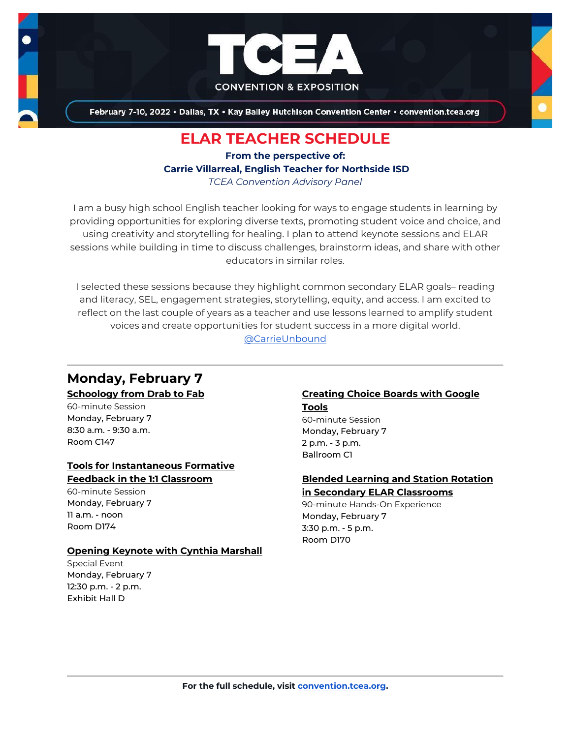

February 7-10, 2022 . Dallas, TX . Kay Bailey Hutchison Convention Center . convention.tcea.org

## **ELAR TEACHER SCHEDULE**

**From the perspective of: Carrie Villarreal, English Teacher for Northside ISD** *TCEA Convention Advisory Panel*

I am a busy high school English teacher looking for ways to engage students in learning by providing opportunities for exploring diverse texts, promoting student voice and choice, and using creativity and storytelling for healing. I plan to attend keynote sessions and ELAR sessions while building in time to discuss challenges, brainstorm ideas, and share with other educators in similar roles.

I selected these sessions because they highlight common secondary ELAR goals– reading and literacy, SEL, engagement strategies, storytelling, equity, and access. I am excited to reflect on the last couple of years as a teacher and use lessons learned to amplify student voices and create opportunities for student success in a more digital world. [@CarrieUnbound](https://twitter.com/CarrieUnbound)

## **Monday, February 7**

### **[Schoology from Drab to Fab](https://register.tcea.org/2022/session_list.cfm?session_key=024005A8-F04D-A206-2B64-292538D3BAC2&session_date=Monday,%20Feb%2007,%202022)**

60-minute Session Monday, February 7 8:30 a.m. - 9:30 a.m. Room C147

#### **[Tools for Instantaneous Formative](https://register.tcea.org/2022/session_list.cfm?session_key=0243674D-F04D-A206-2B64-09403802B23B&session_date=Monday,%20Feb%2007,%202022)  [Feedback in the 1:1 Classroom](https://register.tcea.org/2022/session_list.cfm?session_key=0243674D-F04D-A206-2B64-09403802B23B&session_date=Monday,%20Feb%2007,%202022)**

60-minute Session Monday, February 7  $11$  a.m. - noon Room D174

### **[Opening Keynote with Cynthia Marshall](https://register.tcea.org/2022/session_list.cfm?session_key=5F0745B8-F04D-A206-2B64-0D4631096E34&session_date=Monday,%20Feb%2007,%202022)**

Special Event Monday, February 7 12:30 p.m. - 2 p.m. Exhibit Hall D

#### **[Creating Choice Boards with Google](https://register.tcea.org/2022/session_list.cfm?session_key=1E95EA1E-F04D-A206-2B64-068BCB90AF77&session_date=Monday,%20Feb%2007,%202022)  [Tools](https://register.tcea.org/2022/session_list.cfm?session_key=1E95EA1E-F04D-A206-2B64-068BCB90AF77&session_date=Monday,%20Feb%2007,%202022)**

60-minute Session Monday, February 7 2 p.m. - 3 p.m. Ballroom C1

#### **[Blended Learning and Station Rotation](https://register.tcea.org/2022/session_list.cfm?session_key=0231D30B-F04D-A206-2B64-8F66FA8F35A4&session_date=Monday,%20Feb%2007,%202022)  [in Secondary ELAR Classrooms](https://register.tcea.org/2022/session_list.cfm?session_key=0231D30B-F04D-A206-2B64-8F66FA8F35A4&session_date=Monday,%20Feb%2007,%202022)**

90-minute Hands-On Experience Monday, February 7 3:30 p.m. - 5 p.m. Room D170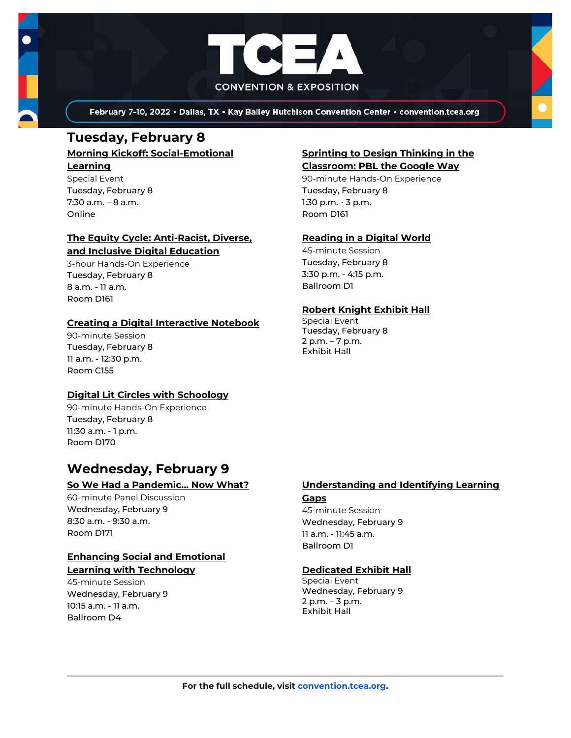

February 7-10, 2022 . Dallas, TX . Kay Bailey Hutchison Convention Center . convention.tcea.org

## **Tuesday, February 8**

**[Morning Kickoff: Social-Emotional](https://register.tcea.org/2022/session_list.cfm?session_key=289A6EFF-F04D-A206-2B64-93B4307E2033&session_date=Tuesday,%20Feb%2008,%202022)  [Learning](https://register.tcea.org/2022/session_list.cfm?session_key=289A6EFF-F04D-A206-2B64-93B4307E2033&session_date=Tuesday,%20Feb%2008,%202022)**

Special Event Tuesday, February 8 7:30 a.m. – 8 a.m. Online

#### **[The Equity Cycle: Anti-Racist, Diverse,](https://register.tcea.org/2022/session_list.cfm?session_key=C7D0EECE-F04D-A206-2B64-047DED2E344B&session_date=Tuesday,%20Feb%2008,%202022)  [and Inclusive Digital Education](https://register.tcea.org/2022/session_list.cfm?session_key=C7D0EECE-F04D-A206-2B64-047DED2E344B&session_date=Tuesday,%20Feb%2008,%202022)**

3-hour Hands-On Experience Tuesday, February 8 8 a.m. - 11 a.m. Room D161

### **[Creating a Digital Interactive Notebook](https://register.tcea.org/2022/session_list.cfm?session_key=02361F74-F04D-A206-2B64-9627472B8CA4&session_date=Tuesday,%20Feb%2008,%202022)**

90-minute Session Tuesday, February 8 11 a.m. - 12:30 p.m. Room C155

### **[Digital Lit Circles with Schoology](https://register.tcea.org/2022/session_list.cfm?session_key=02363969-F04D-A206-2B64-7D65BDEF58E4&session_date=Tuesday,%20Feb%2008,%202022)**

90-minute Hands-On Experience Tuesday, February 8 11:30 a.m. - 1 p.m. Room D170

### **Wednesday, February 9**

#### **[So We Had a Pandemic... Now What?](https://register.tcea.org/2022/session_list.cfm?session_key=0240BA5C-F04D-A206-2B64-E915C616328A&session_date=Wednesday,%20Feb%2009,%202022)**

60-minute Panel Discussion Wednesday, February 9 8:30 a.m. - 9:30 a.m. Room D171

#### **[Enhancing Social and Emotional](https://register.tcea.org/2022/session_list.cfm?session_key=02371F52-F04D-A206-2B64-A34909441FE2&session_date=Wednesday,%20Feb%2009,%202022)  [Learning with Technology](https://register.tcea.org/2022/session_list.cfm?session_key=02371F52-F04D-A206-2B64-A34909441FE2&session_date=Wednesday,%20Feb%2009,%202022)**

45-minute Session Wednesday, February 9 10:15 a.m. - 11 a.m. Ballroom D4

#### **[Sprinting to Design Thinking in the](https://register.tcea.org/2022/session_list.cfm?session_key=024102F0-F04D-A206-2B64-DF0959A7CEB2&session_date=Tuesday,%20Feb%2008,%202022)  [Classroom: PBL the Google Way](https://register.tcea.org/2022/session_list.cfm?session_key=024102F0-F04D-A206-2B64-DF0959A7CEB2&session_date=Tuesday,%20Feb%2008,%202022)**

90-minute Hands-On Experience Tuesday, February 8 1:30 p.m. - 3 p.m. Room D161

### **[Reading in a Digital World](https://register.tcea.org/2022/session_list.cfm?session_key=023F4E4A-F04D-A206-2B64-58DCCF482A34&session_date=Tuesday,%20Feb%2008,%202022)**

45-minute Session Tuesday, February 8 3:30 p.m. - 4:15 p.m. Ballroom D1

### **[Robert Knight Exhibit Hall](https://register.tcea.org/2022/session_list.cfm?session_key=61CDF249-F04D-A206-2B64-15D6559D2515&session_date=Tuesday,%20Feb%2008,%202022)**

Special Event Tuesday, February 8 2 p.m. – 7 p.m. Exhibit Hall

#### **[Understanding and Identifying Learning](https://register.tcea.org/2022/session_list.cfm?session_key=C7EF0583-F04D-A206-2B64-666E7EA5D359&session_date=Wednesday,%20Feb%2009,%202022)  [Gaps](https://register.tcea.org/2022/session_list.cfm?session_key=C7EF0583-F04D-A206-2B64-666E7EA5D359&session_date=Wednesday,%20Feb%2009,%202022)**

45-minute Session Wednesday, February 9 11 a.m. - 11:45 a.m. Ballroom D1

### **[Dedicated Exhibit Hall](https://register.tcea.org/2022/session_list.cfm?session_key=61CDD8E6-F04D-A206-2B64-74AAAD8173D7&session_date=Wednesday,%20Feb%2009,%202022)**

Special Event Wednesday, February 9 2 p.m. – 3 p.m. Exhibit Hall